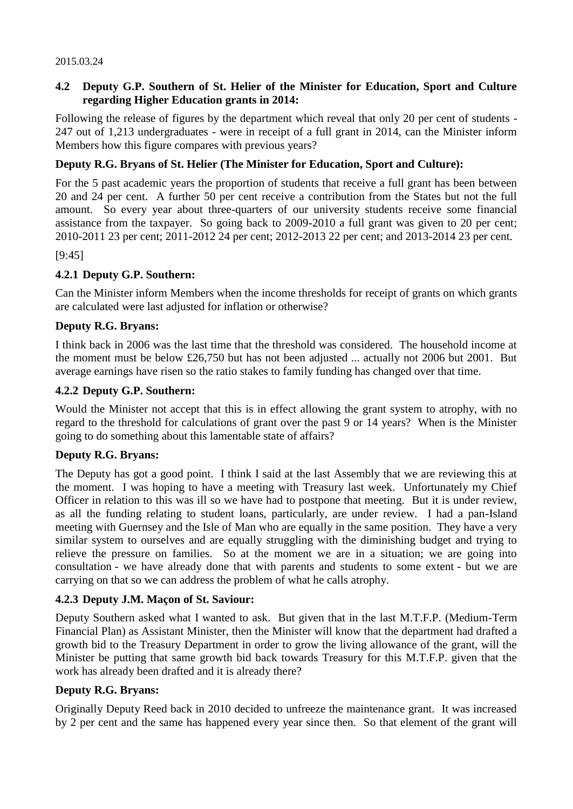#### 2015.03.24

## **4.2 Deputy G.P. Southern of St. Helier of the Minister for Education, Sport and Culture regarding Higher Education grants in 2014:**

Following the release of figures by the department which reveal that only 20 per cent of students - 247 out of 1,213 undergraduates - were in receipt of a full grant in 2014, can the Minister inform Members how this figure compares with previous years?

## **Deputy R.G. Bryans of St. Helier (The Minister for Education, Sport and Culture):**

For the 5 past academic years the proportion of students that receive a full grant has been between 20 and 24 per cent. A further 50 per cent receive a contribution from the States but not the full amount. So every year about three-quarters of our university students receive some financial assistance from the taxpayer. So going back to 2009-2010 a full grant was given to 20 per cent; 2010-2011 23 per cent; 2011-2012 24 per cent; 2012-2013 22 per cent; and 2013-2014 23 per cent.

### [9:45]

## **4.2.1 Deputy G.P. Southern:**

Can the Minister inform Members when the income thresholds for receipt of grants on which grants are calculated were last adjusted for inflation or otherwise?

### **Deputy R.G. Bryans:**

I think back in 2006 was the last time that the threshold was considered. The household income at the moment must be below  $£26,750$  but has not been adjusted ... actually not 2006 but 2001. But average earnings have risen so the ratio stakes to family funding has changed over that time.

### **4.2.2 Deputy G.P. Southern:**

Would the Minister not accept that this is in effect allowing the grant system to atrophy, with no regard to the threshold for calculations of grant over the past 9 or 14 years? When is the Minister going to do something about this lamentable state of affairs?

## **Deputy R.G. Bryans:**

The Deputy has got a good point. I think I said at the last Assembly that we are reviewing this at the moment. I was hoping to have a meeting with Treasury last week. Unfortunately my Chief Officer in relation to this was ill so we have had to postpone that meeting. But it is under review, as all the funding relating to student loans, particularly, are under review. I had a pan-Island meeting with Guernsey and the Isle of Man who are equally in the same position. They have a very similar system to ourselves and are equally struggling with the diminishing budget and trying to relieve the pressure on families. So at the moment we are in a situation; we are going into consultation - we have already done that with parents and students to some extent - but we are carrying on that so we can address the problem of what he calls atrophy.

## **4.2.3 Deputy J.M. Maçon of St. Saviour:**

Deputy Southern asked what I wanted to ask. But given that in the last M.T.F.P. (Medium-Term Financial Plan) as Assistant Minister, then the Minister will know that the department had drafted a growth bid to the Treasury Department in order to grow the living allowance of the grant, will the Minister be putting that same growth bid back towards Treasury for this M.T.F.P. given that the work has already been drafted and it is already there?

#### **Deputy R.G. Bryans:**

Originally Deputy Reed back in 2010 decided to unfreeze the maintenance grant. It was increased by 2 per cent and the same has happened every year since then. So that element of the grant will